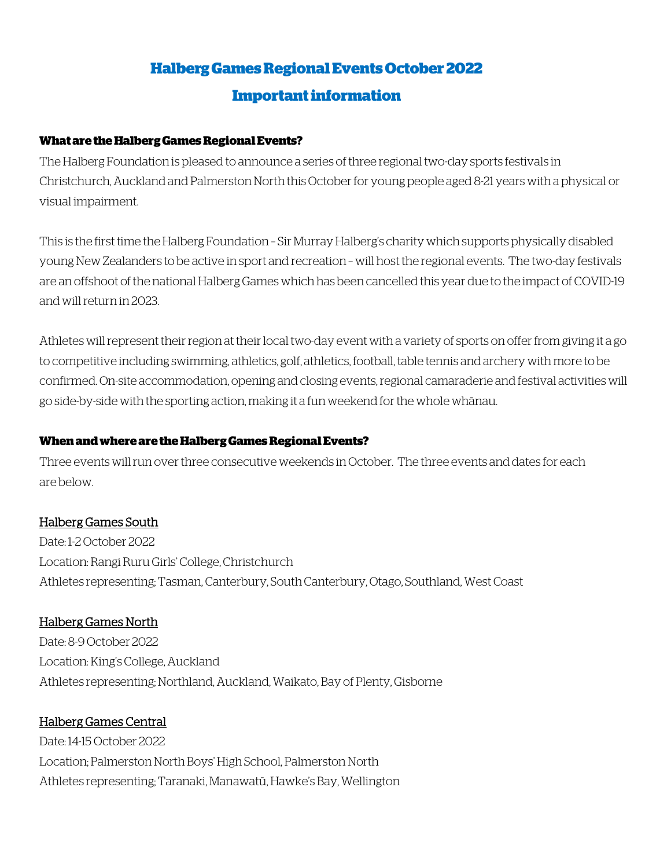# **Halberg Games Regional Events October 2022 Important information**

#### **What are the Halberg Games Regional Events?**

The Halberg Foundation is pleased to announce a series of three regional two-day sports festivals in Christchurch, Auckland and Palmerston North this October for young people aged 8-21 years with a physical or visual impairment.

This is the first time the Halberg Foundation – Sir Murray Halberg's charity which supports physically disabled young New Zealanders to be active in sport and recreation – will host the regional events. The two-day festivals are an offshoot of the national Halberg Games which has been cancelled this year due to the impact of COVID-19 and will return in 2023.

Athletes will represent their region at their local two-day event with a variety of sports on offer from giving it a go to competitive including swimming, athletics, golf, athletics, football, table tennis and archery with more to be confirmed. On-site accommodation, opening and closing events, regional camaraderie and festival activities will go side-by-side with the sporting action, making it a fun weekend for the whole whānau.

# **When and where are the Halberg Games Regional Events?**

Three events will run over three consecutive weekends in October. The three events and dates for each are below.

# Halberg Games South

Date: 1-2 October 2022 Location: Rangi Ruru Girls' College, Christchurch Athletes representing; Tasman, Canterbury, South Canterbury, Otago, Southland, West Coast

# Halberg Games North

Date: 8-9 October 2022 Location: King's College, Auckland Athletes representing; Northland, Auckland, Waikato, Bay of Plenty, Gisborne

# Halberg Games Central

Date: 14-15 October 2022 Location; Palmerston North Boys' High School, Palmerston North Athletes representing; Taranaki, Manawatū, Hawke's Bay, Wellington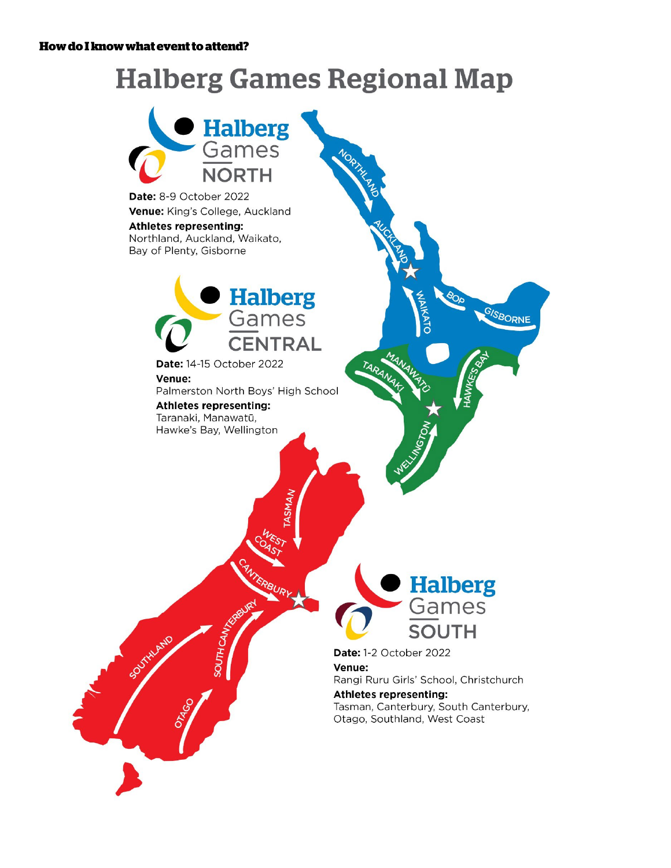# **Halberg Games Regional Map**

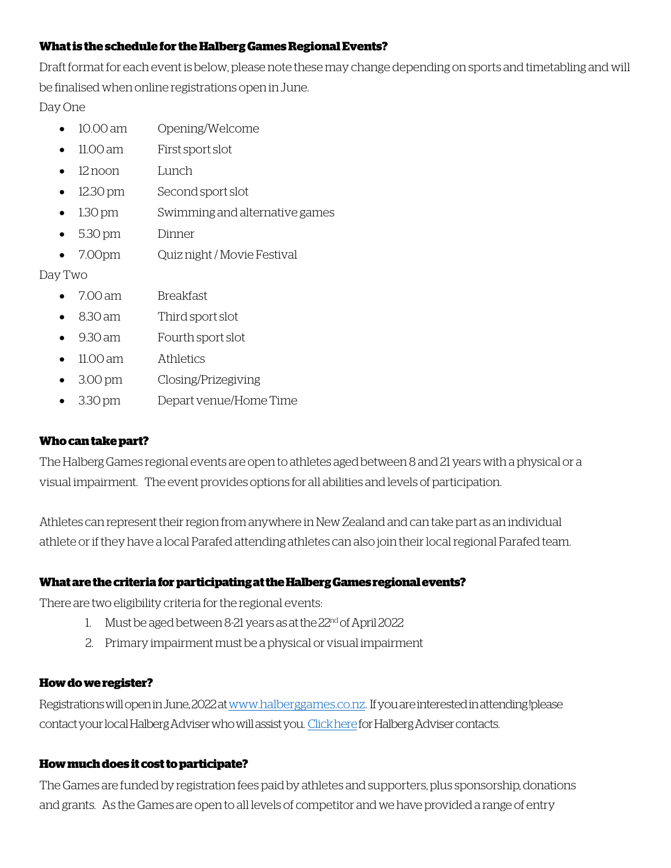#### **What is the schedule for the Halberg Games Regional Events?**

Draft format for each event is below, please note these may change depending on sports and timetabling and will be finalised when online registrations open in June.

#### Day One

- 10.00 am Opening/Welcome
- 11.00 am First sport slot
- 12 noon Lunch
- 12.30 pm Second sport slot
- 1.30 pm Swimming and alternative games
- 5.30 pm Dinner
- 7.00pm Ouiz night / Movie Festival

# Day Two

- 7.00 am Breakfast
- 8.30 am Third sport slot
- 9.30 am Fourth sport slot
- 11.00 am Athletics
- 3.00 pm Closing/Prizegiving
- 3.30 pm Depart venue/Home Time

#### **Who can take part?**

The Halberg Games regional events are open to athletes aged between 8 and 21 years with a physical or a visual impairment. The event provides options for all abilities and levels of participation.

Athletes can represent their region from anywhere in New Zealand and can take part as an individual athlete or if they have a local Parafed attending athletes can also join their local regional Parafed team.

#### **What are the criteria for participating at the Halberg Gamesregional events?**

There are two eligibility criteria for the regional events:

- 1. Must be aged between 8-21 years as at the 22nd of April 2022
- 2. Primary impairment must be a physical or visual impairment

#### **How do we register?**

Registrations will open in June, 2022 a[t www.halberggames.co.nz.](www.halberggames.co.nz) If you are interested in attending !please contact your local Halberg Adviser who will assist you. [Click heref](https://halbergactive.co.nz/contact-us/)or Halberg Adviser contacts.

# **How much does it cost to participate?**

The Games are funded by registration fees paid by athletes and supporters, plus sponsorship, donations and grants. As the Games are open to all levels of competitor and we have provided a range of entry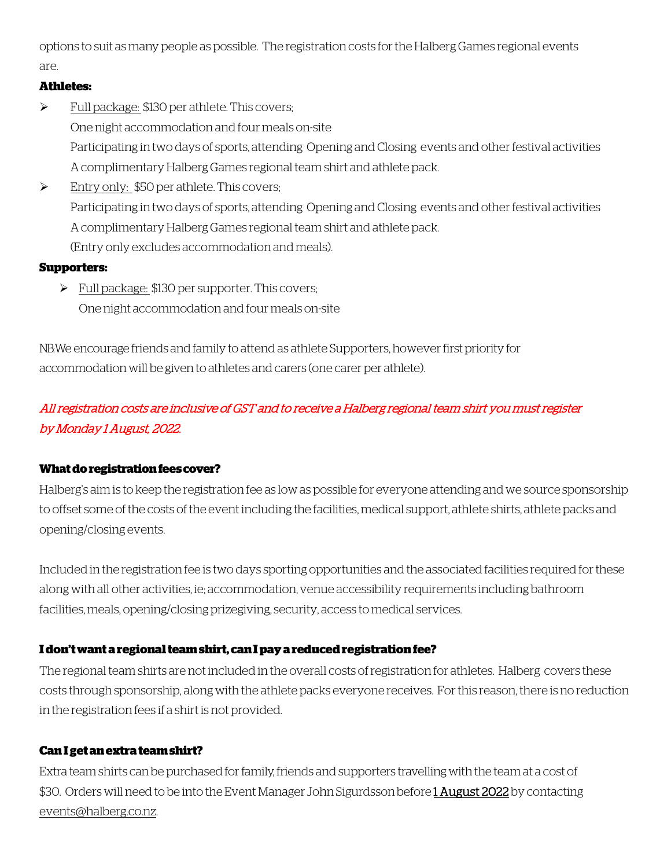options to suit as many people as possible. The registration costs for the HalbergGames regional events are.

# **Athletes:**

- Full package: \$130 per athlete. This covers; One night accommodation and four meals on-site Participating in two days of sports, attending Opening and Closing events and other festival activities A complimentary Halberg Games regional team shirt and athlete pack.
- Entry only: \$50 per athlete. This covers; Participating in two days of sports, attending Opening and Closing events and other festival activities A complimentary Halberg Games regional team shirt and athlete pack. (Entry only excludes accommodation and meals).

# **Supporters:**

Full package: \$130 per supporter. This covers; One night accommodation and four meals on-site

NB: We encourage friends and family to attend as athlete Supporters, however first priority for accommodation will be given to athletes and carers (one carer per athlete).

# All registration costs are inclusive of GST and to receive a Halberg regional team shirt you must register by Monday 1 August, 2022.

# **What do registration fees cover?**

Halberg's aim is to keep the registration fee as low as possible for everyone attending and we source sponsorship to offset some of the costs of the event including the facilities, medical support, athlete shirts, athlete packs and opening/closing events.

Included in the registration fee is two days sporting opportunities and the associated facilities required for these along with all other activities, ie; accommodation, venue accessibility requirements including bathroom facilities, meals, opening/closing prizegiving, security, access to medical services.

# **I don't want a regional team shirt, can I pay a reduced registration fee?**

The regional team shirts are not included in the overall costs of registration for athletes. Halberg covers these costs through sponsorship, along with the athlete packs everyone receives. For this reason, there is no reduction in the registration fees if a shirt is not provided.

# **Can I get an extra team shirt?**

Extra team shirts can be purchased for family, friends and supporters travelling with the team at a cost of \$30. Orders will need to be into the Event Manager John Sigurdsson before 1 August 2022 by contacting [events@halberg.co.nz.](mailto:events@halberg.co.nz)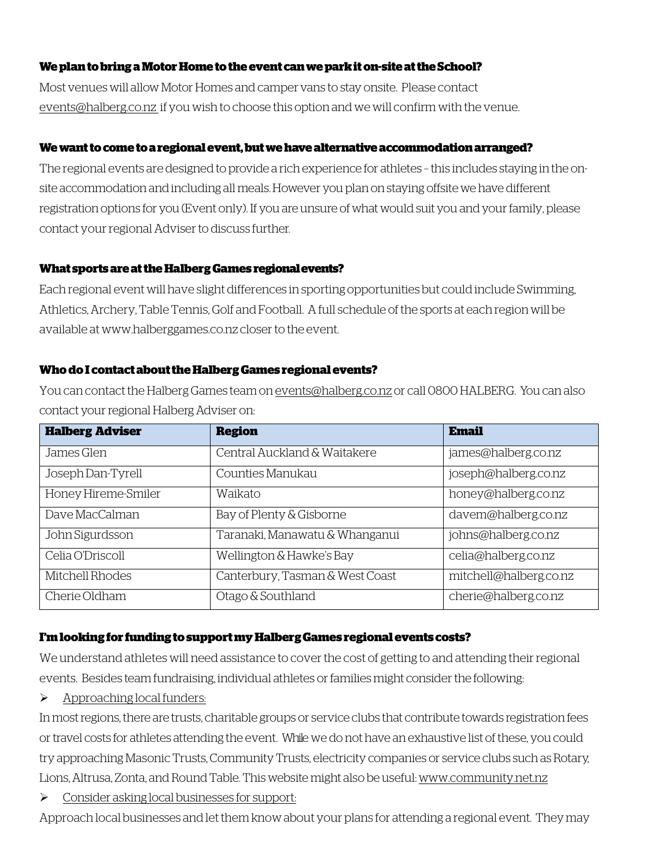#### **We plan to bring a Motor Home to the event can we park it on-site at the School?**

Most venues will allow Motor Homes and camper vans to stay onsite. Please contact [events@halberg.co.nz](mailto:events@halberg.co.nz) if you wish to choose this option and we will confirm with the venue.

# **We want to come to a regionalevent, but we have alternative accommodation arranged?**

The regional events are designed to provide a rich experience for athletes – this includes staying in the onsite accommodation and including all meals. However you plan on staying offsite we have different registration options for you (Event only). If you are unsure of what would suit you and your family, please contact your regional Adviser to discuss further.

#### **What sports are at the Halberg Games regional events?**

Each regional event will have slight differences in sporting opportunities but could include Swimming, Athletics, Archery, Table Tennis, Golf and Football. A full schedule of the sports at each region will be available at www.halberggames.co.nz closer to the event.

#### **Who do I contact about the Halberg Games regionalevents?**

You can contact the Halberg Games team o[n events@halberg.co.nz](mailto:events@halberg.co.nz) or call 0800 HALBERG. You can also contact your regional Halberg Adviser on:

| <b>Halberg Adviser</b> | <b>Region</b>                   | <b>Email</b>           |
|------------------------|---------------------------------|------------------------|
| James Glen             | Central Auckland & Waitakere    | james@halberg.co.nz    |
| Joseph Dan-Tyrell      | Counties Manukau                | joseph@halberg.co.nz   |
| Honey Hireme-Smiler    | Waikato                         | honey@halberg.co.nz    |
| Dave MacCalman         | Bay of Plenty & Gisborne        | davem@halberg.co.nz    |
| John Sigurdsson        | Taranaki, Manawatu & Whanganui  | johns@halberg.co.nz    |
| Celia O'Driscoll       | Wellington & Hawke's Bay        | celia@halberg.co.nz    |
| Mitchell Rhodes        | Canterbury, Tasman & West Coast | mitchell@halberg.co.nz |
| Cherie Oldham          | Otago & Southland               | cherie@halberg.co.nz   |

# **I'm looking for funding to support my Halberg Games regional events costs?**

We understand athletes will need assistance to cover the cost of getting to and attending their regional events. Besides team fundraising, individual athletes or families might consider the following:

# $\triangleright$  Approaching local funders:

In most regions, there are trusts, charitable groups or service clubs that contribute towards registration fees or travel costs for athletes attending the event. While we do not have an exhaustive list of these, you could try approaching Masonic Trusts, Community Trusts, electricity companies or service clubs such as Rotary, Lions, Altrusa, Zonta, and Round Table. This website might also be useful[: www.community.net.nz](http://www.community.net.nz/) 

 $\triangleright$  Consider asking local businesses for support:

Approach local businesses and let them know about your plans for attending a regional event. They may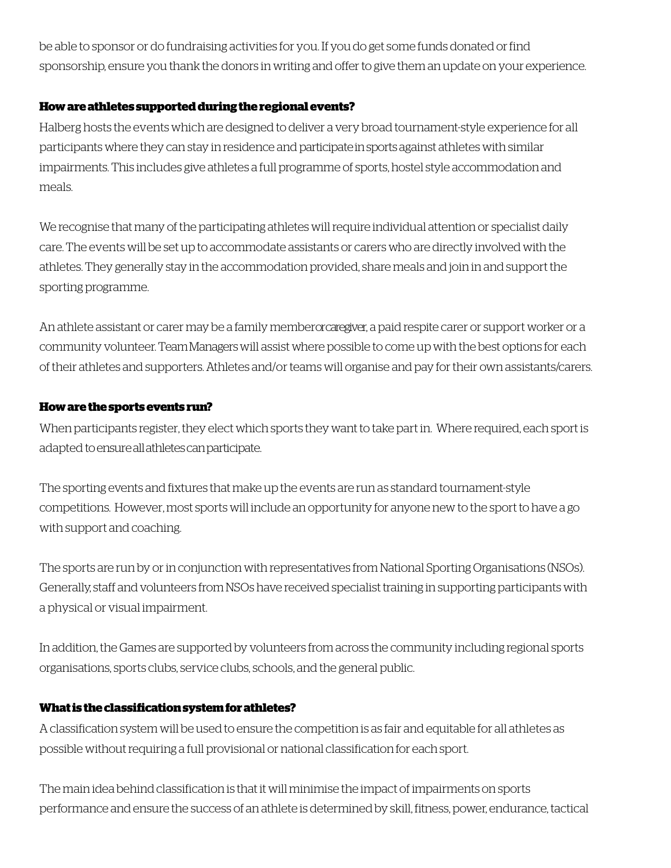be able to sponsor or do fundraising activities for you. If you do get some funds donated orfind sponsorship, ensure you thank the donors in writing and offerto give them an update on your experience.

#### **How are athletes supported during the regional events?**

Halberg hosts the events which are designed to deliver a very broad tournament-style experience for all participants where they can stay in residence and participate in sports against athletes with similar impairments. This includes give athletes a full programme of sports, hostel style accommodation and meals.

We recognise that many of the participating athletes will require individual attention or specialist daily care. The events will be set up to accommodate assistants or carers who are directly involved with the athletes. They generally stay in the accommodation provided, share meals and join in and support the sporting programme.

An athlete assistant or carer may be a family memberor caregiver, a paid respite carer or support worker or a community volunteer. Team Managerswill assist where possible to come up with the best options for each of their athletes and supporters. Athletes and/or teams will organise and pay for their own assistants/carers.

# **How are the sports events run?**

When participants register, they elect which sports they want to take part in. Where required, each sport is adapted to ensure all athletes can participate.

The sporting events and fixtures that make up the events are run as standard tournament-style competitions. However, most sports will include an opportunity for anyone new to the sport to have a go with support and coaching.

The sports are run by or in conjunction with representatives from National Sporting Organisations (NSOs). Generally, staff and volunteers from NSOs have received specialist training in supporting participants with a physical or visual impairment.

In addition, the Games are supported by volunteers from across the community including regional sports organisations, sports clubs, service clubs, schools, and the general public.

# **Whatis theclassificationsystemforathletes?**

A classification system will be used to ensure the competition is as fair and equitable for all athletes as possible without requiring a full provisional or national classification for each sport.

The main idea behind classification is that it will minimise the impact of impairments on sports performance and ensure the success of an athlete is determined by skill, fitness, power, endurance, tactical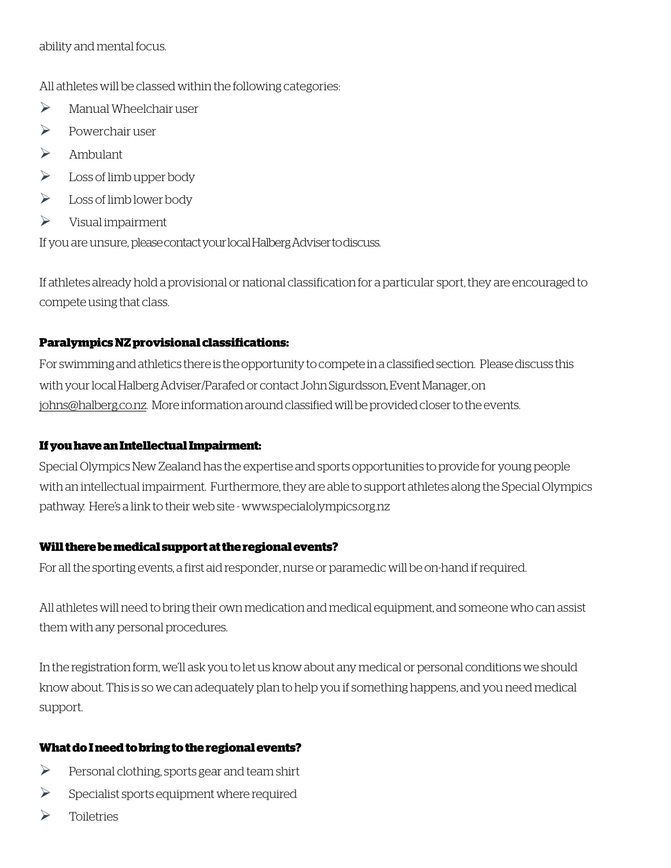ability and mental focus.

All athletes will be classed within the following categories:

- $\triangleright$  Manual Wheelchair user
- $\triangleright$  Powerchair user
- $\triangleright$  Ambulant
- $\triangleright$  Loss of limb upper body
- $\triangleright$  Loss of limb lower body
- $\triangleright$  Visual impairment

If you are unsure, pleasecontact your local Halberg Adviser to discuss.

If athletes already hold a provisional or national classification for a particular sport, they are encouraged to compete using that class.

# **Paralympics NZ provisional classifications:**

For swimming and athletics there is the opportunity to compete in a classified section. Please discuss this with your local Halberg Adviser/Parafed or contact John Sigurdsson, Event Manager,on [johns@halberg.co.nz.](mailto:johns@halberg.co.nz) More information around classified will be provided closer to the events.

# **If you have an Intellectual Impairment:**

Special Olympics New Zealand has the expertise and sports opportunities to provide for young people with an intellectual impairment. Furthermore, they are able to support athletes along the Special Olympics pathway. Here's a link to their web site - [www.specialolympics.org.nz](http://www.specialolympics.org.nz/) 

# **Will there be medical support at the regional events?**

For all the sporting events, a first aid responder, nurse or paramedic will be on-hand if required.

All athletes will need to bring their own medication and medical equipment, and someone who can assist them with any personal procedures.

In the registration form, we'll ask you to let us know about any medical or personal conditions we should know about. This is so we can adequately plan to help you if something happens, and you need medical support.

# **What do I need to bring to the regional events?**

- $\triangleright$  Personal clothing, sports gear and team shirt
- $\triangleright$  Specialist sports equipment where required
- $\triangleright$  Toiletries